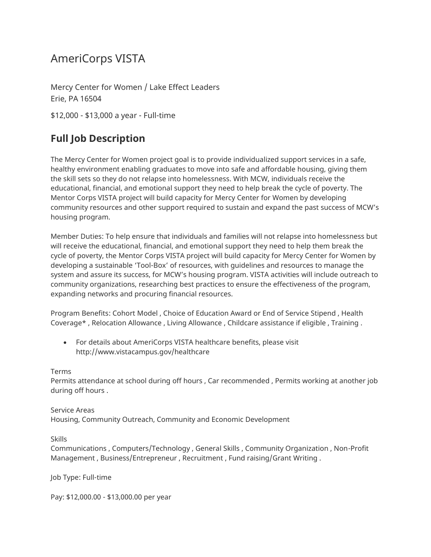## AmeriCorps VISTA

Mercy Center for Women / Lake Effect Leaders Erie, PA 16504

\$12,000 - \$13,000 a year - Full-time

## **Full Job Description**

The Mercy Center for Women project goal is to provide individualized support services in a safe, healthy environment enabling graduates to move into safe and affordable housing, giving them the skill sets so they do not relapse into homelessness. With MCW, individuals receive the educational, financial, and emotional support they need to help break the cycle of poverty. The Mentor Corps VISTA project will build capacity for Mercy Center for Women by developing community resources and other support required to sustain and expand the past success of MCW's housing program.

Member Duties: To help ensure that individuals and families will not relapse into homelessness but will receive the educational, financial, and emotional support they need to help them break the cycle of poverty, the Mentor Corps VISTA project will build capacity for Mercy Center for Women by developing a sustainable 'Tool-Box' of resources, with guidelines and resources to manage the system and assure its success, for MCW's housing program. VISTA activities will include outreach to community organizations, researching best practices to ensure the effectiveness of the program, expanding networks and procuring financial resources.

Program Benefits: Cohort Model , Choice of Education Award or End of Service Stipend , Health Coverage\* , Relocation Allowance , Living Allowance , Childcare assistance if eligible , Training .

• For details about AmeriCorps VISTA healthcare benefits, please visit http://www.vistacampus.gov/healthcare

Terms

Permits attendance at school during off hours , Car recommended , Permits working at another job during off hours .

Service Areas Housing, Community Outreach, Community and Economic Development

Skills

Communications , Computers/Technology , General Skills , Community Organization , Non-Profit Management , Business/Entrepreneur , Recruitment , Fund raising/Grant Writing .

Job Type: Full-time

Pay: \$12,000.00 - \$13,000.00 per year